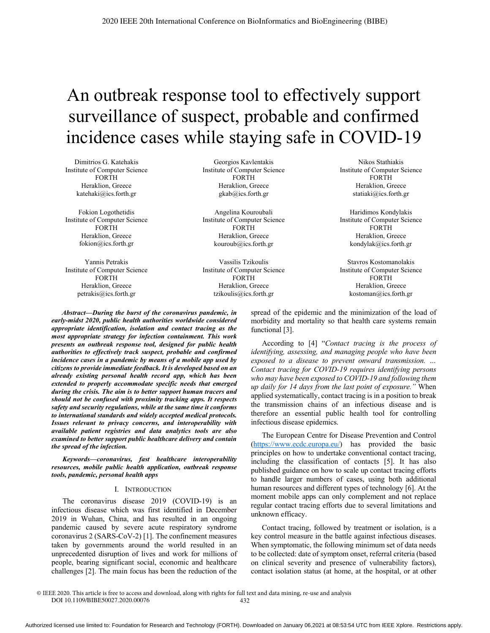# An outbreak response tool to effectively support surveillance of suspect, probable and confirmed incidence cases while staying safe in COVID-19

Dimitrios G. Katehakis Institute of Computer Science **FORTH** Heraklion, Greece katehaki@ics.forth.gr

Fokion Logothetidis Institute of Computer Science **FORTH** Heraklion, Greece fokion@ics.forth.gr

Yannis Petrakis Institute of Computer Science **FORTH** Heraklion, Greece petrakis@ics.forth.gr

Georgios Kavlentakis Institute of Computer Science **FORTH** Heraklion, Greece gkab@ics.forth.gr

Angelina Kouroubali Institute of Computer Science **FORTH** Heraklion, Greece kouroub@ics.forth.gr

Vassilis Tzikoulis Institute of Computer Science **FORTH** Heraklion, Greece tzikoulis@ics.forth.gr

Nikos Stathiakis Institute of Computer Science **FORTH** Heraklion, Greece statiaki@ics.forth.gr

Haridimos Kondylakis Institute of Computer Science **FORTH** Heraklion, Greece kondylak@ics.forth.gr

Stavros Kostomanolakis Institute of Computer Science **FORTH** Heraklion, Greece kostoman@ics.forth.gr

Abstract—During the burst of the coronavirus pandemic, in early-midst 2020, public health authorities worldwide considered appropriate identification, isolation and contact tracing as the most appropriate strategy for infection containment. This work presents an outbreak response tool, designed for public health authorities to effectively track suspect, probable and confirmed incidence cases in a pandemic by means of a mobile app used by citizens to provide immediate feedback. It is developed based on an already existing personal health record app, which has been extended to properly accommodate specific needs that emerged during the crisis. The aim is to better support human tracers and should not be confused with proximity tracking apps. It respects safety and security regulations, while at the same time it conforms to international standards and widely accepted medical protocols. Issues relevant to privacy concerns, and interoperability with available patient registries and data analytics tools are also examined to better support public healthcare delivery and contain the spread of the infection.

Keywords-coronavirus, fast healthcare interoperability resources, mobile public health application, outbreak response tools, pandemic, personal health apps

#### I. INTRODUCTION

The coronavirus disease 2019 (COVID-19) is an infectious disease which was first identified in December 2019 in Wuhan, China, and has resulted in an ongoing pandemic caused by severe acute respiratory syndrome coronavirus 2 (SARS-CoV-2) [1]. The confinement measures taken by governments around the world resulted in an unprecedented disruption of lives and work for millions of people, bearing significant social, economic and healthcare challenges [2]. The main focus has been the reduction of the spread of the epidemic and the minimization of the load of morbidity and mortality so that health care systems remain functional [3].

According to [4] "Contact tracing is the process of identifying, assessing, and managing people who have been exposed to a disease to prevent onward transmission. ... Contact tracing for COVID-19 requires identifying persons who may have been exposed to COVID-19 and following them up daily for 14 days from the last point of exposure." When applied systematically, contact tracing is in a position to break the transmission chains of an infectious disease and is therefore an essential public health tool for controlling infectious disease epidemics.

The European Centre for Disease Prevention and Control (https://www.ecdc.europa.eu/) has provided the basic principles on how to undertake conventional contact tracing, including the classification of contacts [5]. It has also published guidance on how to scale up contact tracing efforts to handle larger numbers of cases, using both additional human resources and different types of technology [6]. At the moment mobile apps can only complement and not replace regular contact tracing efforts due to several limitations and unknown efficacy.

Contact tracing, followed by treatment or isolation, is a key control measure in the battle against infectious diseases. When symptomatic, the following minimum set of data needs to be collected: date of symptom onset, referral criteria (based on clinical severity and presence of vulnerability factors), contact isolation status (at home, at the hospital, or at other

@ IEEE 2020. This article is free to access and download, along with rights for full text and data mining, re-use and analysis DOI 10.1109/BIBE50027.2020.00076 432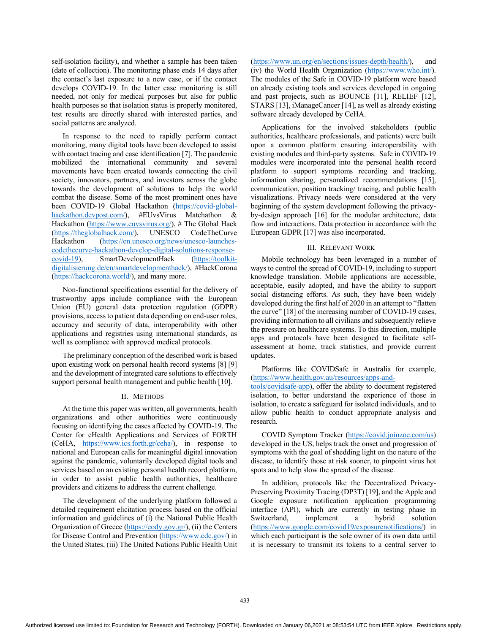self-isolation facility), and whether a sample has been taken (date of collection). The monitoring phase ends 14 days after the contact's last exposure to a new case, or if the contact develops COVID-19. In the latter case monitoring is still needed, not only for medical purposes but also for public health purposes so that isolation status is properly monitored, test results are directly shared with interested parties, and social patterns are analyzed.

In response to the need to rapidly perform contact monitoring, many digital tools have been developed to assist with contact tracing and case identification [7]. The pandemic mobilized the international community and several movements have been created towards connecting the civil society, innovators, partners, and investors across the globe towards the development of solutions to help the world combat the disease. Some of the most prominent ones have been COVID-19 Global Hackathon (https://covid-global $hackation.devpost.com/$ , #EUvsVirus Matchathon  $\&$ Hackathon (https://www.euvsvirus.org/), # The Global Hack (https://theglobalhack.com/), UNESCO CodeTheCurve Hackathon (https://en.unesco.org/news/unesco-launchescodethecurve-hackathon-develop-digital-solutions-response-SmartDevelopmentHack  $covid-19$ ), (https://toolkitdigitalisierung.de/en/smartdevelopmenthack/), #HackCorona (https://hackcorona.world/), and many more.

Non-functional specifications essential for the delivery of trustworthy apps include compliance with the European Union (EU) general data protection regulation (GDPR) provisions, access to patient data depending on end-user roles, accuracy and security of data, interoperability with other applications and registries using international standards, as well as compliance with approved medical protocols.

The preliminary conception of the described work is based upon existing work on personal health record systems [8] [9] and the development of integrated care solutions to effectively support personal health management and public health [10].

# II. METHODS

At the time this paper was written, all governments, health organizations and other authorities were continuously focusing on identifying the cases affected by COVID-19. The Center for eHealth Applications and Services of FORTH (CeHA, https://www.ics.forth.gr/ceha/), in response to national and European calls for meaningful digital innovation against the pandemic, voluntarily developed digital tools and services based on an existing personal health record platform, in order to assist public health authorities, healthcare providers and citizens to address the current challenge.

The development of the underlying platform followed a detailed requirement elicitation process based on the official information and guidelines of (i) the National Public Health Organization of Greece (https://eody.gov.gr/), (ii) the Centers for Disease Control and Prevention (https://www.cdc.gov/) in the United States, (iii) The United Nations Public Health Unit (https://www.un.org/en/sections/issues-depth/health/), and (iv) the World Health Organization (https://www.who.int/). The modules of the Safe in COVID-19 platform were based on already existing tools and services developed in ongoing and past projects, such as BOUNCE [11], RELIEF [12], STARS [13], iManageCancer [14], as well as already existing software already developed by CeHA.

Applications for the involved stakeholders (public authorities, healthcare professionals, and patients) were built upon a common platform ensuring interoperability with existing modules and third-party systems. Safe in COVID-19 modules were incorporated into the personal health record platform to support symptoms recording and tracking, information sharing, personalized recommendations [15], communication, position tracking/ tracing, and public health visualizations. Privacy needs were considered at the very beginning of the system development following the privacyby-design approach [16] for the modular architecture, data flow and interactions. Data protection in accordance with the European GDPR [17] was also incorporated.

## **III. RELEVANT WORK**

Mobile technology has been leveraged in a number of ways to control the spread of COVID-19, including to support knowledge translation. Mobile applications are accessible, acceptable, easily adopted, and have the ability to support social distancing efforts. As such, they have been widely developed during the first half of 2020 in an attempt to "flatten the curve" [18] of the increasing number of COVID-19 cases, providing information to all civilians and subsequently relieve the pressure on healthcare systems. To this direction, multiple apps and protocols have been designed to facilitate selfassessment at home, track statistics, and provide current updates.

Platforms like COVIDSafe in Australia for example, (https://www.health.gov.au/resources/apps-and-

tools/covidsafe-app), offer the ability to document registered isolation, to better understand the experience of those in isolation, to create a safeguard for isolated individuals, and to allow public health to conduct appropriate analysis and research.

COVID Symptom Tracker (https://covid.joinzoe.com/us) developed in the US, helps track the onset and progression of symptoms with the goal of shedding light on the nature of the disease, to identify those at risk sooner, to pinpoint virus hot spots and to help slow the spread of the disease.

In addition, protocols like the Decentralized Privacy-Preserving Proximity Tracing (DP3T) [19], and the Apple and Google exposure notification application programming interface (API), which are currently in testing phase in Switzerland, implement hybrid a solution (https://www.google.com/covid19/exposurenotifications/) in which each participant is the sole owner of its own data until it is necessary to transmit its tokens to a central server to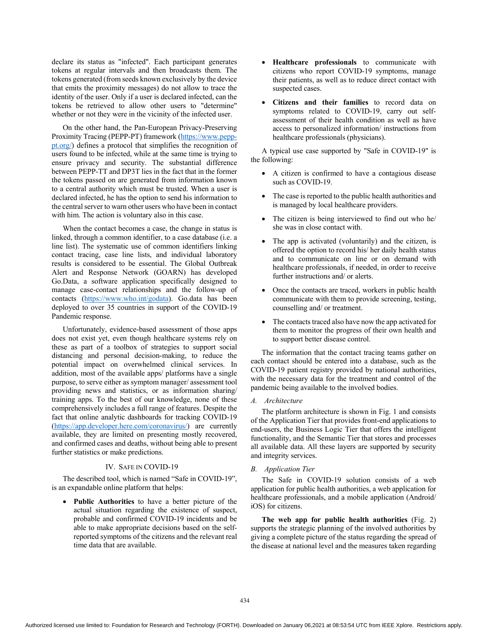declare its status as "infected". Each participant generates tokens at regular intervals and then broadcasts them. The tokens generated (from seeds known exclusively by the device that emits the proximity messages) do not allow to trace the identity of the user. Only if a user is declared infected, can the tokens be retrieved to allow other users to "determine" whether or not they were in the vicinity of the infected user.

On the other hand, the Pan-European Privacy-Preserving Proximity Tracing (PEPP-PT) framework (https://www.pepp $p_{t.org}/p$  defines a protocol that simplifies the recognition of users found to be infected, while at the same time is trying to ensure privacy and security. The substantial difference between PEPP-TT and DP3T lies in the fact that in the former the tokens passed on are generated from information known to a central authority which must be trusted. When a user is declared infected, he has the option to send his information to the central server to warn other users who have been in contact with him. The action is voluntary also in this case.

When the contact becomes a case, the change in status is linked, through a common identifier, to a case database (i.e. a line list). The systematic use of common identifiers linking contact tracing, case line lists, and individual laboratory results is considered to be essential. The Global Outbreak Alert and Response Network (GOARN) has developed Go.Data, a software application specifically designed to manage case-contact relationships and the follow-up of contacts (https://www.who.int/godata). Go.data has been deployed to over 35 countries in support of the COVID-19 Pandemic response.

Unfortunately, evidence-based assessment of those apps does not exist yet, even though healthcare systems rely on these as part of a toolbox of strategies to support social distancing and personal decision-making, to reduce the potential impact on overwhelmed clinical services. In addition, most of the available apps/ platforms have a single purpose, to serve either as symptom manager/assessment tool providing news and statistics, or as information sharing/ training apps. To the best of our knowledge, none of these comprehensively includes a full range of features. Despite the fact that online analytic dashboards for tracking COVID-19 (https://app.developer.here.com/coronavirus/) are currently available, they are limited on presenting mostly recovered, and confirmed cases and deaths, without being able to present further statistics or make predictions.

# IV. SAFE IN COVID-19

The described tool, which is named "Safe in COVID-19", is an expandable online platform that helps:

Public Authorities to have a better picture of the actual situation regarding the existence of suspect, probable and confirmed COVID-19 incidents and be able to make appropriate decisions based on the selfreported symptoms of the citizens and the relevant real time data that are available.

- Healthcare professionals to communicate with citizens who report COVID-19 symptoms, manage their patients, as well as to reduce direct contact with suspected cases.
- Citizens and their families to record data on symptoms related to COVID-19, carry out selfassessment of their health condition as well as have access to personalized information/ instructions from healthcare professionals (physicians).

A typical use case supported by "Safe in COVID-19" is the following:

- A citizen is confirmed to have a contagious disease such as COVID-19.
- The case is reported to the public health authorities and is managed by local healthcare providers.
- The citizen is being interviewed to find out who he/ she was in close contact with.
- The app is activated (voluntarily) and the citizen, is offered the option to record his/ her daily health status and to communicate on line or on demand with healthcare professionals, if needed, in order to receive further instructions and/ or alerts.
- Once the contacts are traced, workers in public health communicate with them to provide screening, testing, counselling and/ or treatment.
- The contacts traced also have now the app activated for them to monitor the progress of their own health and to support better disease control.

The information that the contact tracing teams gather on each contact should be entered into a database, such as the COVID-19 patient registry provided by national authorities, with the necessary data for the treatment and control of the pandemic being available to the involved bodies.

# A. Architecture

The platform architecture is shown in Fig. 1 and consists of the Application Tier that provides front-end applications to end-users, the Business Logic Tier that offers the intelligent functionality, and the Semantic Tier that stores and processes all available data. All these layers are supported by security and integrity services.

# **B.** Application Tier

The Safe in COVID-19 solution consists of a web application for public health authorities, a web application for healthcare professionals, and a mobile application (Android/ iOS) for citizens.

The web app for public health authorities (Fig. 2) supports the strategic planning of the involved authorities by giving a complete picture of the status regarding the spread of the disease at national level and the measures taken regarding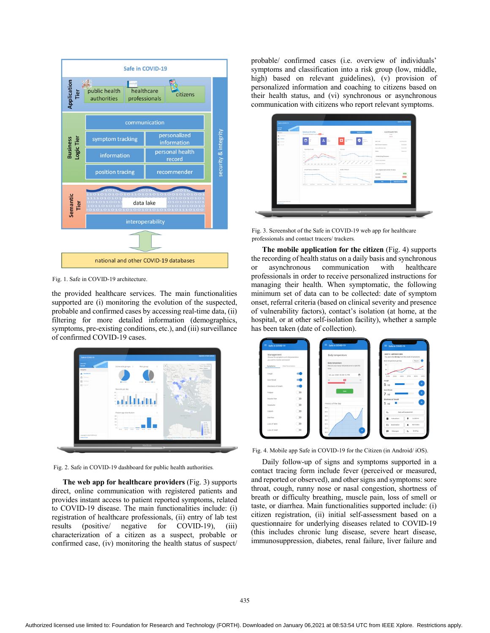

Fig. 1. Safe in COVID-19 architecture.

the provided healthcare services. The main functionalities supported are (i) monitoring the evolution of the suspected, probable and confirmed cases by accessing real-time data, (ii) filtering for more detailed information (demographics, symptoms, pre-existing conditions, etc.), and (iii) surveillance of confirmed COVID-19 cases.



Fig. 2. Safe in COVID-19 dashboard for public health authorities.

The web app for healthcare providers (Fig. 3) supports direct, online communication with registered patients and provides instant access to patient reported symptoms, related to COVID-19 disease. The main functionalities include: (i) registration of healthcare professionals, (ii) entry of lab test results (positive/ negative for COVID-19), (iii) characterization of a citizen as a suspect, probable or confirmed case, (iv) monitoring the health status of suspect/ probable/ confirmed cases (i.e. overview of individuals' symptoms and classification into a risk group (low, middle, high) based on relevant guidelines), (v) provision of personalized information and coaching to citizens based on their health status, and (vi) synchronous or asynchronous communication with citizens who report relevant symptoms.

| <b>Service</b>                            |                                                              |                                                                   |                                           |                                |  |
|-------------------------------------------|--------------------------------------------------------------|-------------------------------------------------------------------|-------------------------------------------|--------------------------------|--|
| <b>Service</b><br>Neigelse<br>A Internet  | Medical Profile<br>The patient belongs to a group and con-   | <b>Model Services</b>                                             | <b>MALE</b><br>Apr III                    | A3455648578N                   |  |
| 0.0000<br><b>D</b> homes<br>$\Box$ top of | &<br>to.<br>Θ<br>×,<br><b>MALE</b>                           | Days of<br><b>Kahendre prod-</b><br>e<br>105<br><b>ACCURATION</b> | <b>ESSEX and a</b>                        | ASKRIMATION                    |  |
|                                           |                                                              |                                                                   | best of ones of symptoms                  | 25/54/2020                     |  |
|                                           | TEMPERATURE<br>254 224 224 234 234 234 234 234 234 234       | COUGH<br>v.<br>$\sim$<br>$\sim$<br>$\sim$<br>////////             | Core conferencian data<br><b>Blancher</b> | 24.54.953<br>Reflyman          |  |
|                                           |                                                              |                                                                   | Underlying Diseases                       |                                |  |
|                                           |                                                              |                                                                   | Chronic lung disease                      |                                |  |
|                                           |                                                              |                                                                   | Se era heart disease                      |                                |  |
|                                           | SHORTNESS OF BREATH                                          | SORE THROAT                                                       |                                           | Last registered COVID-19 tests |  |
|                                           | ×<br>                                                        |                                                                   | 25,6262                                   | $\overline{\phantom{a}}$       |  |
|                                           | $\sim$<br>×                                                  |                                                                   | 25.8/2020                                 | --                             |  |
|                                           | ×.<br>13<br>Melville Melade<br>2041430<br>sow mon-<br>204102 | nelve nemo<br>We hall the chan-<br>204102                         | $\overline{\phantom{a}}$                  | <b>Reported by conclude</b>    |  |
|                                           |                                                              |                                                                   |                                           |                                |  |
|                                           |                                                              |                                                                   |                                           |                                |  |
|                                           |                                                              |                                                                   |                                           |                                |  |
| Exerger & 2020 FORTWICK<br>Terms of our   |                                                              |                                                                   |                                           |                                |  |
|                                           |                                                              |                                                                   |                                           |                                |  |

Fig. 3. Screenshot of the Safe in COVID-19 web app for healthcare professionals and contact tracers/ trackers.

The mobile application for the citizen (Fig. 4) supports the recording of health status on a daily basis and synchronous communication asynchronous with healthcare <sub>or</sub> professionals in order to receive personalized instructions for managing their health. When symptomatic, the following minimum set of data can to be collected: date of symptom onset, referral criteria (based on clinical severity and presence of vulnerability factors), contact's isolation (at home, at the hospital, or at other self-isolation facility), whether a sample has been taken (date of collection).



Fig. 4. Mobile app Safe in COVID-19 for the Citizen (in Android/iOS).

Daily follow-up of signs and symptoms supported in a contact tracing form include fever (perceived or measured, and reported or observed), and other signs and symptoms: sore throat, cough, runny nose or nasal congestion, shortness of breath or difficulty breathing, muscle pain, loss of smell or taste, or diarrhea. Main functionalities supported include: (i) citizen registration, (ii) initial self-assessment based on a questionnaire for underlying diseases related to COVID-19 (this includes chronic lung disease, severe heart disease, immunosuppression, diabetes, renal failure, liver failure and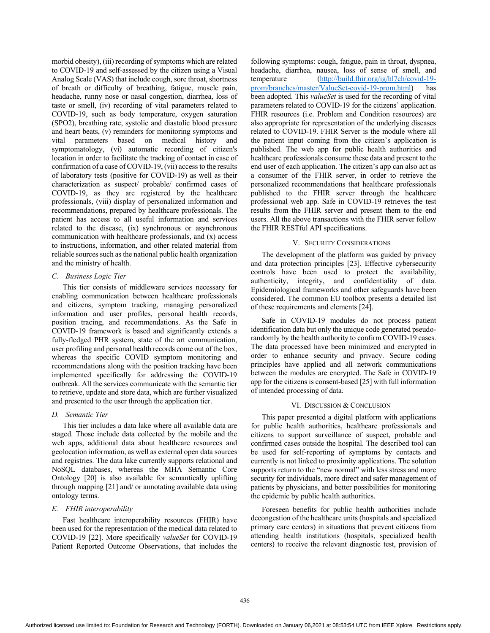morbid obesity), (iii) recording of symptoms which are related to COVID-19 and self-assessed by the citizen using a Visual Analog Scale (VAS) that include cough, sore throat, shortness of breath or difficulty of breathing, fatigue, muscle pain, headache, runny nose or nasal congestion, diarrhea, loss of taste or smell, (iv) recording of vital parameters related to COVID-19, such as body temperature, oxygen saturation (SPO2), breathing rate, systolic and diastolic blood pressure and heart beats, (v) reminders for monitoring symptoms and vital parameters based on medical history and symptomatology, (vi) automatic recording of citizen's location in order to facilitate the tracking of contact in case of confirmation of a case of COVID-19, (vii) access to the results of laboratory tests (positive for COVID-19) as well as their characterization as suspect/ probable/ confirmed cases of COVID-19, as they are registered by the healthcare professionals, (viii) display of personalized information and recommendations, prepared by healthcare professionals. The patient has access to all useful information and services related to the disease,  $(ix)$  synchronous or asynchronous communication with healthcare professionals, and  $(x)$  access to instructions, information, and other related material from reliable sources such as the national public health organization and the ministry of health.

# *C. Business Logic Tier*

This tier consists of middleware services necessary for enabling communication between healthcare professionals and citizens, symptom tracking, managing personalized information and user profiles, personal health records, position tracing, and recommendations. As the Safe in COVID-19 framework is based and significantly extends a fully-fledged PHR system, state of the art communication, user profiling and personal health records come out of the box, whereas the specific COVID symptom monitoring and recommendations along with the position tracking have been implemented specifically for addressing the COVID-19 outbreak. All the services communicate with the semantic tier to retrieve, update and store data, which are further visualized and presented to the user through the application tier.

## *D. Semantic Tier*

This tier includes a data lake where all available data are staged. Those include data collected by the mobile and the web apps, additional data about healthcare resources and geolocation information, as well as external open data sources and registries. The data lake currently supports relational and NoSQL databases, whereas the MHA Semantic Core Ontology [20] is also available for semantically uplifting through mapping  $[21]$  and/ or annotating available data using ontology terms.

## *E. FHIR interoperability*

Fast healthcare interoperability resources (FHIR) have been used for the representation of the medical data related to COVID-19 [22]. More specifically *valueSet* for COVID-19 Patient Reported Outcome Observations, that includes the

following symptoms: cough, fatigue, pain in throat, dyspnea, headache, diarrhea, nausea, loss of sense of smell, and temperature (http://build.fhir.org/ig/hl7ch/covid-19prom/branches/master/ValueSet-covid-19-prom.html) has been adopted. This valueSet is used for the recording of vital parameters related to COVID-19 for the citizens' application. FHIR resources (i.e. Problem and Condition resources) are also appropriate for representation of the underlying diseases related to COVID-19. FHIR Server is the module where all the patient input coming from the citizen's application is published. The web app for public health authorities and healthcare professionals consume these data and present to the end user of each application. The citizen's app can also act as a consumer of the FHIR server, in order to retrieve the personalized recommendations that healthcare professionals published to the FHIR server through the healthcare professional web app. Safe in COVID-19 retrieves the test results from the FHIR server and present them to the end users. All the above transactions with the FHIR server follow the FHIR RESTful API specifications.

## V. SECURITY CONSIDERATIONS

The development of the platform was guided by privacy and data protection principles [23]. Effective cybersecurity controls have been used to protect the availability, authenticity, integrity, and confidentiality of data. Epidemiological frameworks and other safeguards have been considered. The common EU toolbox presents a detailed list of these requirements and elements [24].

Safe in COVID-19 modules do not process patient identification data but only the unique code generated pseudorandomly by the health authority to confirm COVID-19 cases. The data processed have been minimized and encrypted in order to enhance security and privacy. Secure coding principles have applied and all network communications between the modules are encrypted. The Safe in COVID-19 app for the citizens is consent-based  $[25]$  with full information of intended processing of data.

# VI. DISCUSSION & CONCLUSION

This paper presented a digital platform with applications for public health authorities, healthcare professionals and citizens to support surveillance of suspect, probable and confirmed cases outside the hospital. The described tool can be used for self-reporting of symptoms by contacts and currently is not linked to proximity applications. The solution supports return to the "new normal" with less stress and more security for individuals, more direct and safer management of patients by physicians, and better possibilities for monitoring the epidemic by public health authorities.

Foreseen benefits for public health authorities include decongestion of the healthcare units (hospitals and specialized primary care centers) in situations that prevent citizens from attending health institutions (hospitals, specialized health centers) to receive the relevant diagnostic test, provision of